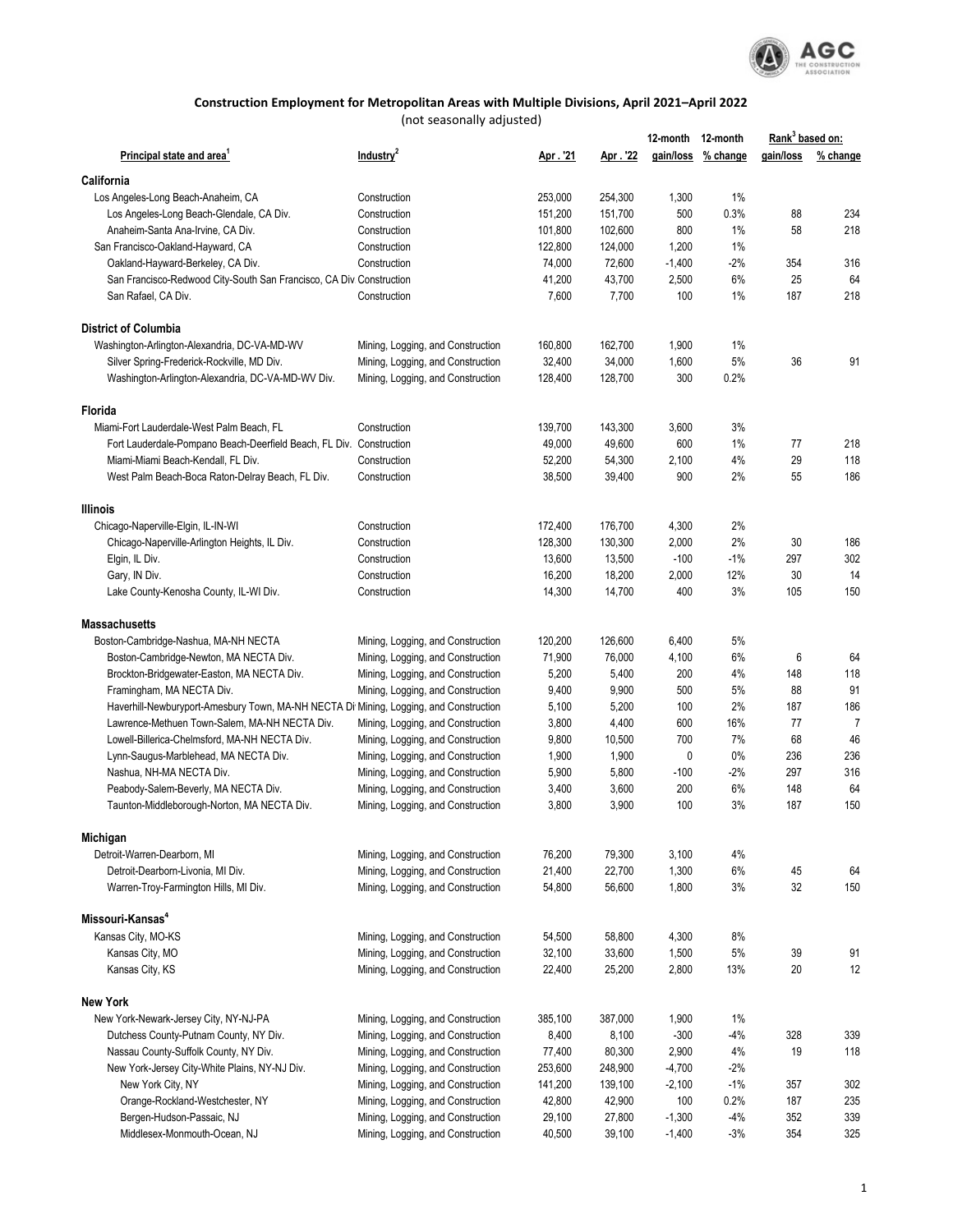

## **Construction Employment for Metropolitan Areas with Multiple Divisions, April 2021–April 2022**

(not seasonally adjusted)

|                                                                                       |                                   |         |          | 12-month 12-month |                    | Rank <sup>3</sup> based on: |                |
|---------------------------------------------------------------------------------------|-----------------------------------|---------|----------|-------------------|--------------------|-----------------------------|----------------|
| Principal state and area'                                                             | Industry <sup>2</sup>             | Apr.'21 | Apr. '22 |                   | gain/loss % change | gain/loss                   | % change       |
| California                                                                            |                                   |         |          |                   |                    |                             |                |
| Los Angeles-Long Beach-Anaheim, CA                                                    | Construction                      | 253,000 | 254,300  | 1,300             | 1%                 |                             |                |
| Los Angeles-Long Beach-Glendale, CA Div.                                              | Construction                      | 151,200 | 151,700  | 500               | 0.3%               | 88                          | 234            |
| Anaheim-Santa Ana-Irvine, CA Div.                                                     | Construction                      | 101,800 | 102,600  | 800               | 1%                 | 58                          | 218            |
| San Francisco-Oakland-Hayward, CA                                                     | Construction                      | 122,800 | 124,000  | 1,200             | 1%                 |                             |                |
| Oakland-Hayward-Berkeley, CA Div.                                                     | Construction                      | 74,000  | 72,600   | $-1,400$          | $-2%$              | 354                         | 316            |
| San Francisco-Redwood City-South San Francisco, CA Div Construction                   |                                   | 41,200  | 43,700   | 2,500             | 6%                 | 25                          | 64             |
| San Rafael, CA Div.                                                                   | Construction                      | 7,600   | 7,700    | 100               | 1%                 | 187                         | 218            |
| <b>District of Columbia</b>                                                           |                                   |         |          |                   |                    |                             |                |
| Washington-Arlington-Alexandria, DC-VA-MD-WV                                          | Mining, Logging, and Construction | 160,800 | 162,700  | 1,900             | 1%                 |                             |                |
| Silver Spring-Frederick-Rockville, MD Div.                                            | Mining, Logging, and Construction | 32,400  | 34,000   | 1,600             | 5%                 | 36                          | 91             |
| Washington-Arlington-Alexandria, DC-VA-MD-WV Div.                                     | Mining, Logging, and Construction | 128,400 | 128,700  | 300               | 0.2%               |                             |                |
| <b>Florida</b>                                                                        |                                   |         |          |                   |                    |                             |                |
| Miami-Fort Lauderdale-West Palm Beach, FL                                             | Construction                      | 139,700 | 143,300  | 3,600             | 3%                 |                             |                |
| Fort Lauderdale-Pompano Beach-Deerfield Beach, FL Div. Construction                   |                                   | 49,000  | 49,600   | 600               | 1%                 | 77                          | 218            |
| Miami-Miami Beach-Kendall, FL Div.                                                    | Construction                      | 52,200  | 54,300   | 2,100             | 4%                 | 29                          | 118            |
| West Palm Beach-Boca Raton-Delray Beach, FL Div.                                      | Construction                      | 38,500  | 39,400   | 900               | 2%                 | 55                          | 186            |
| <b>Illinois</b>                                                                       |                                   |         |          |                   |                    |                             |                |
| Chicago-Naperville-Elgin, IL-IN-WI                                                    | Construction                      | 172,400 | 176,700  | 4,300             | 2%                 |                             |                |
| Chicago-Naperville-Arlington Heights, IL Div.                                         | Construction                      | 128,300 | 130,300  | 2,000             | 2%                 | 30                          | 186            |
| Elgin, IL Div.                                                                        | Construction                      | 13,600  | 13,500   | $-100$            | $-1%$              | 297                         | 302            |
| Gary, IN Div.                                                                         | Construction                      | 16,200  | 18,200   | 2,000             | 12%                | 30                          | 14             |
| Lake County-Kenosha County, IL-WI Div.                                                | Construction                      | 14,300  | 14,700   | 400               | 3%                 | 105                         | 150            |
| <b>Massachusetts</b>                                                                  |                                   |         |          |                   |                    |                             |                |
| Boston-Cambridge-Nashua, MA-NH NECTA                                                  | Mining, Logging, and Construction | 120,200 | 126,600  | 6,400             | 5%                 |                             |                |
| Boston-Cambridge-Newton, MA NECTA Div.                                                | Mining, Logging, and Construction | 71,900  | 76,000   | 4,100             | 6%                 | 6                           | 64             |
| Brockton-Bridgewater-Easton, MA NECTA Div.                                            | Mining, Logging, and Construction | 5,200   | 5,400    | 200               | 4%                 | 148                         | 118            |
| Framingham, MA NECTA Div.                                                             | Mining, Logging, and Construction | 9,400   | 9,900    | 500               | 5%                 | 88                          | 91             |
| Haverhill-Newburyport-Amesbury Town, MA-NH NECTA Di Mining, Logging, and Construction |                                   | 5,100   | 5,200    | 100               | 2%                 | 187                         | 186            |
| Lawrence-Methuen Town-Salem, MA-NH NECTA Div.                                         | Mining, Logging, and Construction | 3,800   | 4,400    | 600               | 16%                | 77                          | $\overline{7}$ |
| Lowell-Billerica-Chelmsford, MA-NH NECTA Div.                                         | Mining, Logging, and Construction | 9,800   | 10,500   | 700               | 7%                 | 68                          | 46             |
| Lynn-Saugus-Marblehead, MA NECTA Div.                                                 | Mining, Logging, and Construction | 1,900   | 1,900    | 0                 | $0\%$              | 236                         | 236            |
| Nashua, NH-MA NECTA Div.                                                              | Mining, Logging, and Construction | 5,900   | 5,800    | $-100$            | $-2%$              | 297                         | 316            |
| Peabody-Salem-Beverly, MA NECTA Div.                                                  | Mining, Logging, and Construction | 3,400   | 3,600    | 200               | 6%                 | 148                         | 64             |
| Taunton-Middleborough-Norton, MA NECTA Div.                                           | Mining, Logging, and Construction | 3,800   | 3,900    | 100               | 3%                 | 187                         | 150            |
| Michigan                                                                              |                                   |         |          |                   |                    |                             |                |
| Detroit-Warren-Dearborn, MI                                                           | Mining, Logging, and Construction | 76,200  | 79,300   | 3,100             | 4%                 |                             |                |
| Detroit-Dearborn-Livonia, MI Div.                                                     | Mining, Logging, and Construction | 21,400  | 22,700   | 1,300             | 6%                 | 45                          | 64             |
| Warren-Troy-Farmington Hills, MI Div.                                                 | Mining, Logging, and Construction | 54,800  | 56,600   | 1,800             | 3%                 | 32                          | 150            |
| Missouri-Kansas <sup>4</sup>                                                          |                                   |         |          |                   |                    |                             |                |
| Kansas City, MO-KS                                                                    | Mining, Logging, and Construction | 54,500  | 58,800   | 4,300             | 8%                 |                             |                |
| Kansas City, MO                                                                       | Mining, Logging, and Construction | 32,100  | 33,600   | 1,500             | 5%                 | 39                          | 91             |
| Kansas City, KS                                                                       | Mining, Logging, and Construction | 22,400  | 25,200   | 2,800             | 13%                | 20                          | 12             |
| <b>New York</b>                                                                       |                                   |         |          |                   |                    |                             |                |
| New York-Newark-Jersey City, NY-NJ-PA                                                 | Mining, Logging, and Construction | 385,100 | 387,000  | 1,900             | 1%                 |                             |                |
| Dutchess County-Putnam County, NY Div.                                                | Mining, Logging, and Construction | 8,400   | 8,100    | $-300$            | -4%                | 328                         | 339            |
| Nassau County-Suffolk County, NY Div.                                                 | Mining, Logging, and Construction | 77,400  | 80,300   | 2,900             | 4%                 | 19                          | 118            |
| New York-Jersey City-White Plains, NY-NJ Div.                                         | Mining, Logging, and Construction | 253,600 | 248,900  | $-4,700$          | $-2\%$             |                             |                |
| New York City, NY                                                                     | Mining, Logging, and Construction | 141,200 | 139,100  | $-2,100$          | $-1\%$             | 357                         | 302            |
| Orange-Rockland-Westchester, NY                                                       | Mining, Logging, and Construction | 42,800  | 42,900   | 100               | 0.2%               | 187                         | 235            |
| Bergen-Hudson-Passaic, NJ                                                             | Mining, Logging, and Construction | 29,100  | 27,800   | $-1,300$          | $-4%$              | 352                         | 339            |
| Middlesex-Monmouth-Ocean, NJ                                                          | Mining, Logging, and Construction | 40,500  | 39,100   | $-1,400$          | $-3%$              | 354                         | 325            |